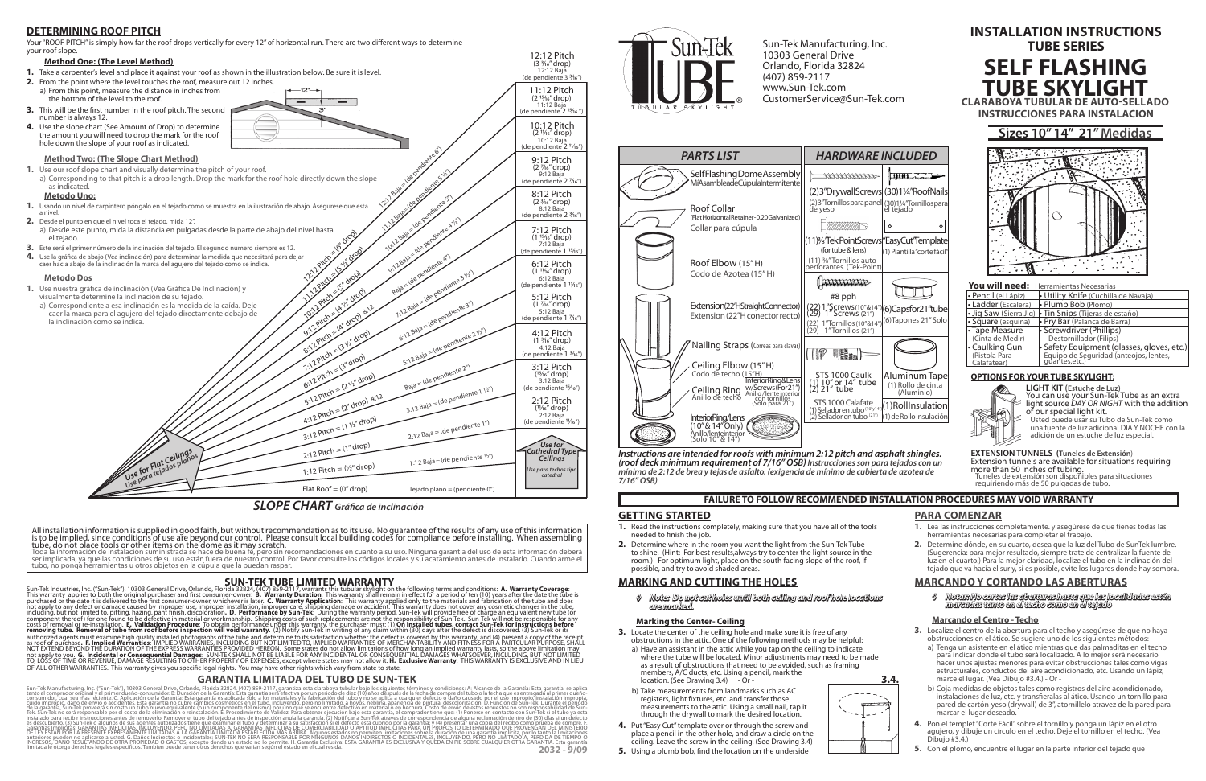#### **GETTING STARTED**

- **1.** Read the instructions completely, making sure that you have all of the tools needed to finish the job.
- **2.** Determine where in the room you want the light from the Sun-Tek Tube to shine. (Hint: For best results,always try to center the light source in the room.) For optimum light, place on the south facing slope of the roof, if possible, and try to avoid shaded areas.

- **3.** Locate the center of the ceiling hole and make sure it is free of any obstructions in the attic. One of the following methods may be helpful:
	- a) Have an assistant in the attic while you tap on the ceiling to indicate where the tube will be located. Minor adjustments may need to be made as a result of obstructions that need to be avoided, such as framing members, A/C ducts, etc. Using a pencil, mark the location. (See Drawing 3.4) - Or -**3.4.**
- b) Take measurements from landmarks such as AC registers, light fixtures, etc. and transfer those measurements to the attic. Using a small nail, tap it through the drywall to mark the desired location.
- **4.** Put "Easy Cut" template over or through the screw and place a pencil in the other hole, and draw a circle on the ceiling. Leave the screw in the ceiling. (See Drawing 3.4) **5.** Using a plumb bob, find the location on the underside
- 222



## **MARKING AND CUTTING THE HOLES**

*◊ Note: Do not cut holes until both ceiling and roof hole locations are marked.* 

#### **Marking the Center- Ceiling**

*Instructions are intended for roofs with minimum 2:12 pitch and asphalt shingles. (roof deck minimum requirement of 7/16" OSB) Instrucciones son para tejados con un mínimo de 2:12 de brea y tejas de asfalto. (exigencia de mínimo de cubierta de azotea de 7/16" OSB)*

## **FAILURE TO FOLLOW RECOMMENDED INSTALLATION PROCEDURES MAY VOID WARRANTY**

## **PARA COMENZAR**

- **1.** Lea las instrucciones completamente. y asegúrese de que tienes todas las herramientas necesarias para completar el trabajo.
- **2.** Determine dónde, en su cuarto, desea que la luz del Tubo de SunTek lumbre. (Sugerencia: para mejor resultado, siempre trate de centralizar la fuente de luz en el cuarto.) Para la mejor claridad, localize el tubo en la inclinación del tejado que va hacia el sur y, si es posible, evite los lugares donde hay sombra.

 $\degree$ (6) Capsfor 21" tube (6)Tapones 21" Solo

(1) Roll Insulation  $(1)$  de Rollo Insulación

## **MARCANDO Y CORTANDO LAS ABERTURAS**

**2032 - 9/09** Sun-Tek Manufacturing, Inc. ("Sun-Tek"), 10303 General Drive, Orlando, Florida 32824, (407) 85-2117, granniza esta classe and periodo de diez (10) años después de la fecha de compredel tubo o la fecha que es entragada al p es descubierto. (3) Sun-Tek o algunos de sus agentes autorizados tiene que exáminar el tubo y determinar a su satisfacción si el defecto está cubrido por la garantía; y (4) presentár una copia del recibo como prúeba de com DE LEY ESTAN POR LA PRESENTE EXPRESAMÉNTE LIMITADAS A LA GARANTIA LIMITADA DE POR DENSIGNADES DE PRODUCTO DE DE<br>Anteriores pueden no aplicarse a usted. G. Daños Indirectos o Incidentales: SUN-TEK NO SERA RESPONSABLE POR NI



*◊ Notar: No cortes las aberturas hasta que las localidades estén marcadas tanto en el techo como en el tejado*

## **Marcando el Centro - Techo**

- **3.** Localize el centro de la abertura para el techo y asegúrese de que no haya
	- obstrucciones en el ático. Se sugiere uno de los siguientes métodos: a) Tenga un asistente en el ático mientras que das palmaditas en el techo para indicar donde el tubo será localizado. A lo mejor será necesario hacer unos ajustes menores para evitar obstrucciones tales como vigas estructurales, conductos del aire acondicionado, etc. Usando un lápiz, marce el lugar. (Vea Dibujo #3.4.) - Or -
	- b) Coja medidas de objetos tales como registros del aire acondicionado, instalaciones de luz, etc. y transfieralas al ático. Usando un tornillo para pared de cartón-yeso (drywall) de 3", atornillelo atravez de la pared para marcar el lugar deseado.
- **4.** Pon el templet "Corte Fácil" sobre el tornillo y ponga un lápiz en el otro agujero, y dibuje un círculo en el techo. Deje el tornillo en el techo. (Vea Dibujo #3.4.)
- **5.** Con el plomo, encuentre el lugar en la parte inferior del tejado que

Your "ROOF PITCH" is simply how far the roof drops vertically for every 12" of horizontal run. There are two different ways to determine your roof slope.









## *SLOPE CHART Gráca de inclinación*

All installation information is supplied in good faith, but without recommendation as to its use. No guarantee of the results of any use of this information is to be implied, since conditions of use are beyond our control. Please consult local building codes for compliance before installing. When assembling<br>tube, do not place tools or other items on the dome as it may scratch.

## **DETERMINING ROOF PITCH**

Sun-Tek Manufacturing, Inc. 10303 General Drive Orlando, Florida 32824 (407) 859-2117 www.Sun-Tek.com CustomerService@Sun-Tek.com

## **SUN-TEK TUBE LIMITED WARRANTY**

Sun-Tek Industries, Inc. ("Sun-Tek"), 10303 General Drive, Orlando, Florida 32824, (407) 859-2117, warrants this tubular skylight on the following terms and conditions: **A. Warranty Coverage**:<br>This warranty applies to both including, but not limited to, pitting, hazing, pant finish, discolòration. **D. Performance by Sun-Tek**: During the warranty period, Sun-Tek Mul provide free of charge an equivalent new tube (or responsibility of Sun-Tek S

# **SELF FLASHING TUBE SKYLIGHT CLARABOYA TUBULAR DE AUTO-SELLADO INSTALLATION INSTRUCTIONS TUBE SERIES INSTRUCCIONES PARA INSTALACION**

## **GARANTIA LIMITADA DEL TUBO DE SUN-TEK**



ser implicada, ya que las condiciones de su uso están fuera de nuestro control. Por favor consulte los códigos locales y su acatamiento antes de instalarlo. Cuando arme el tubo, no ponga herramientas u otros objetos en la cúpula que la puedan raspar.

## **You will need:** Herramientas Necesarias

| .                        | -------------------------------                                    |
|--------------------------|--------------------------------------------------------------------|
| • Pencil (el Lápiz)      | <b>• Utility Knife</b> (Cuchilla de Navaja)                        |
| • Ladder (Escalera)      | • Plumb Bob (Plomo)                                                |
|                          | $\cdot$ Jig Saw (Sierra Jig) $\cdot$ Tin Snips (Tijeras de estaño) |
| $\cdot$ Square (esquina) | · Pry Bar (Palanca de Barra)                                       |
| • Tape Measure           | • Screwdriver (Phillips)                                           |
| (Cinta de Medir)         | Destornillador (Filips)                                            |
| • Caulking Gun           | • Safety Equipment (glasses, gloves, etc.)                         |
| (Pistola Para            | Equipo de Seguridad (anteojos, lentes,<br>guantes,etc.)            |
| Calafatear)              |                                                                    |

## **OPTIONS FOR YOUR TUBE SKYLIGHT:**



**LIGHT KIT (Estuche de Luz)** You can use your Sun-Tek Tube as an extra light source *DAY OR NIGHT* with the addition of our special light kit. Usted puede usar su Tubo de Sun-Tek como

una fuente de luz adicional DIA Y NOCHE con la adición de un estuche de luz especial.

#### **EXTENSION TUNNELS (Tuneles de Extensión**) Extension tunnels are available for situations requiring more than 50 inches of tubing. Tuneles de extensión son disponibles para situaciones

requiriendo más de 50 pulgadas de tubo.